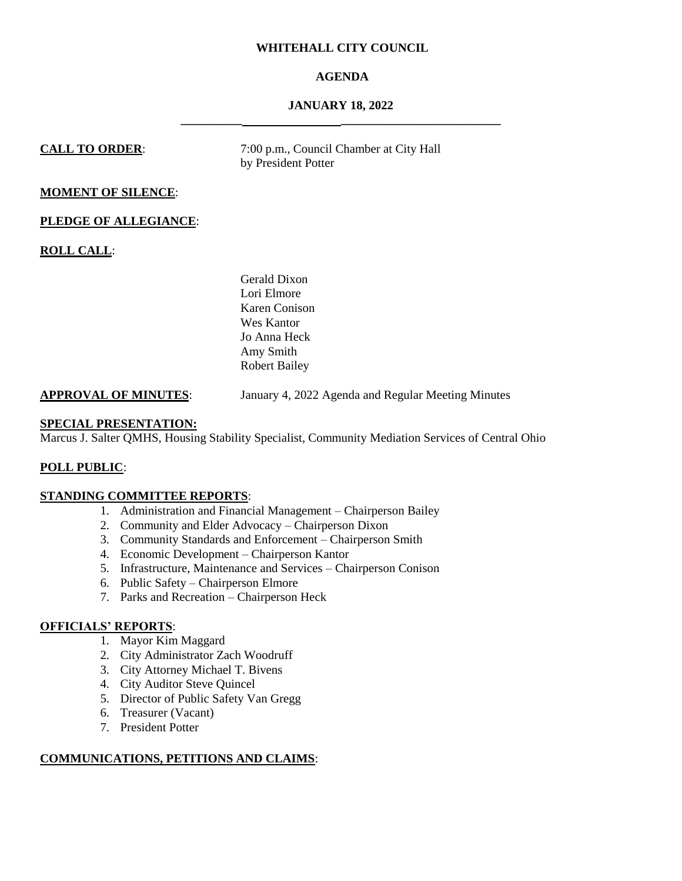# **WHITEHALL CITY COUNCIL**

# **AGENDA**

# **JANUARY 18, 2022 \_\_\_\_\_\_\_\_\_\_ \_\_\_\_\_\_\_\_\_\_\_\_\_\_\_\_\_\_\_\_\_\_\_\_\_\_**

**CALL TO ORDER:** 7:00 p.m., Council Chamber at City Hall by President Potter

# **MOMENT OF SILENCE**:

## **PLEDGE OF ALLEGIANCE**:

**ROLL CALL**:

Gerald Dixon Lori Elmore Karen Conison Wes Kantor Jo Anna Heck Amy Smith Robert Bailey

## **APPROVAL OF MINUTES**: January 4, 2022 Agenda and Regular Meeting Minutes

## **SPECIAL PRESENTATION:**

Marcus J. Salter QMHS, Housing Stability Specialist, Community Mediation Services of Central Ohio

# **POLL PUBLIC**:

# **STANDING COMMITTEE REPORTS**:

- 1. Administration and Financial Management Chairperson Bailey
- 2. Community and Elder Advocacy Chairperson Dixon
- 3. Community Standards and Enforcement Chairperson Smith
- 4. Economic Development Chairperson Kantor
- 5. Infrastructure, Maintenance and Services Chairperson Conison
- 6. Public Safety Chairperson Elmore
- 7. Parks and Recreation Chairperson Heck

# **OFFICIALS' REPORTS**:

- 1. Mayor Kim Maggard
- 2. City Administrator Zach Woodruff
- 3. City Attorney Michael T. Bivens
- 4. City Auditor Steve Quincel
- 5. Director of Public Safety Van Gregg
- 6. Treasurer (Vacant)
- 7. President Potter

# **COMMUNICATIONS, PETITIONS AND CLAIMS**: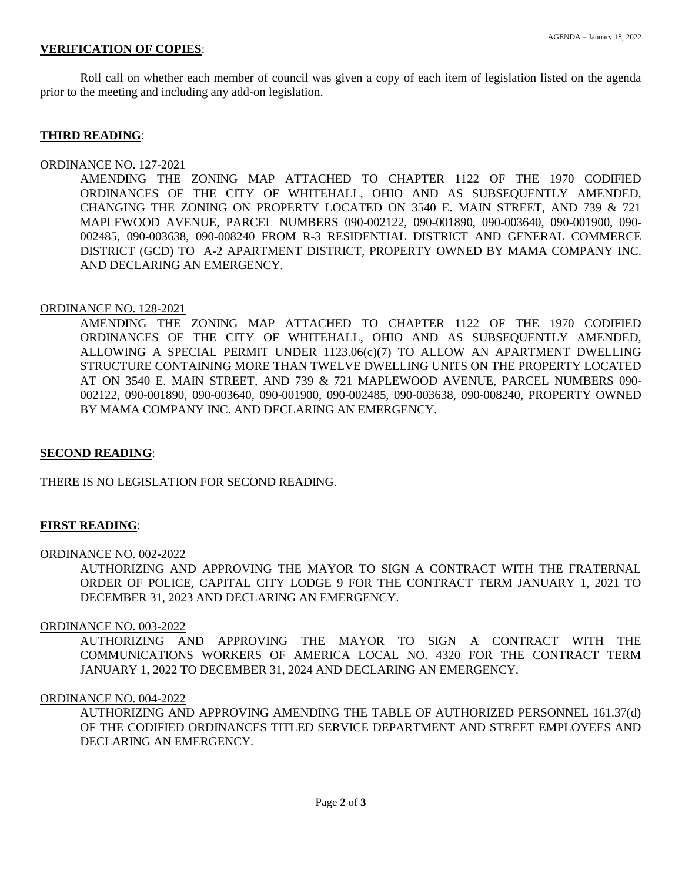# **VERIFICATION OF COPIES**:

Roll call on whether each member of council was given a copy of each item of legislation listed on the agenda prior to the meeting and including any add-on legislation.

## **THIRD READING**:

## ORDINANCE NO. 127-2021

AMENDING THE ZONING MAP ATTACHED TO CHAPTER 1122 OF THE 1970 CODIFIED ORDINANCES OF THE CITY OF WHITEHALL, OHIO AND AS SUBSEQUENTLY AMENDED, CHANGING THE ZONING ON PROPERTY LOCATED ON 3540 E. MAIN STREET, AND 739 & 721 MAPLEWOOD AVENUE, PARCEL NUMBERS 090-002122, 090-001890, 090-003640, 090-001900, 090- 002485, 090-003638, 090-008240 FROM R-3 RESIDENTIAL DISTRICT AND GENERAL COMMERCE DISTRICT (GCD) TO A-2 APARTMENT DISTRICT, PROPERTY OWNED BY MAMA COMPANY INC. AND DECLARING AN EMERGENCY.

## ORDINANCE NO. 128-2021

AMENDING THE ZONING MAP ATTACHED TO CHAPTER 1122 OF THE 1970 CODIFIED ORDINANCES OF THE CITY OF WHITEHALL, OHIO AND AS SUBSEQUENTLY AMENDED, ALLOWING A SPECIAL PERMIT UNDER 1123.06(c)(7) TO ALLOW AN APARTMENT DWELLING STRUCTURE CONTAINING MORE THAN TWELVE DWELLING UNITS ON THE PROPERTY LOCATED AT ON 3540 E. MAIN STREET, AND 739 & 721 MAPLEWOOD AVENUE, PARCEL NUMBERS 090- 002122, 090-001890, 090-003640, 090-001900, 090-002485, 090-003638, 090-008240, PROPERTY OWNED BY MAMA COMPANY INC. AND DECLARING AN EMERGENCY.

# **SECOND READING**:

THERE IS NO LEGISLATION FOR SECOND READING.

# **FIRST READING**:

## ORDINANCE NO. 002-2022

AUTHORIZING AND APPROVING THE MAYOR TO SIGN A CONTRACT WITH THE FRATERNAL ORDER OF POLICE, CAPITAL CITY LODGE 9 FOR THE CONTRACT TERM JANUARY 1, 2021 TO DECEMBER 31, 2023 AND DECLARING AN EMERGENCY.

## ORDINANCE NO. 003-2022

AUTHORIZING AND APPROVING THE MAYOR TO SIGN A CONTRACT WITH THE COMMUNICATIONS WORKERS OF AMERICA LOCAL NO. 4320 FOR THE CONTRACT TERM JANUARY 1, 2022 TO DECEMBER 31, 2024 AND DECLARING AN EMERGENCY.

## ORDINANCE NO. 004-2022

AUTHORIZING AND APPROVING AMENDING THE TABLE OF AUTHORIZED PERSONNEL 161.37(d) OF THE CODIFIED ORDINANCES TITLED SERVICE DEPARTMENT AND STREET EMPLOYEES AND DECLARING AN EMERGENCY.